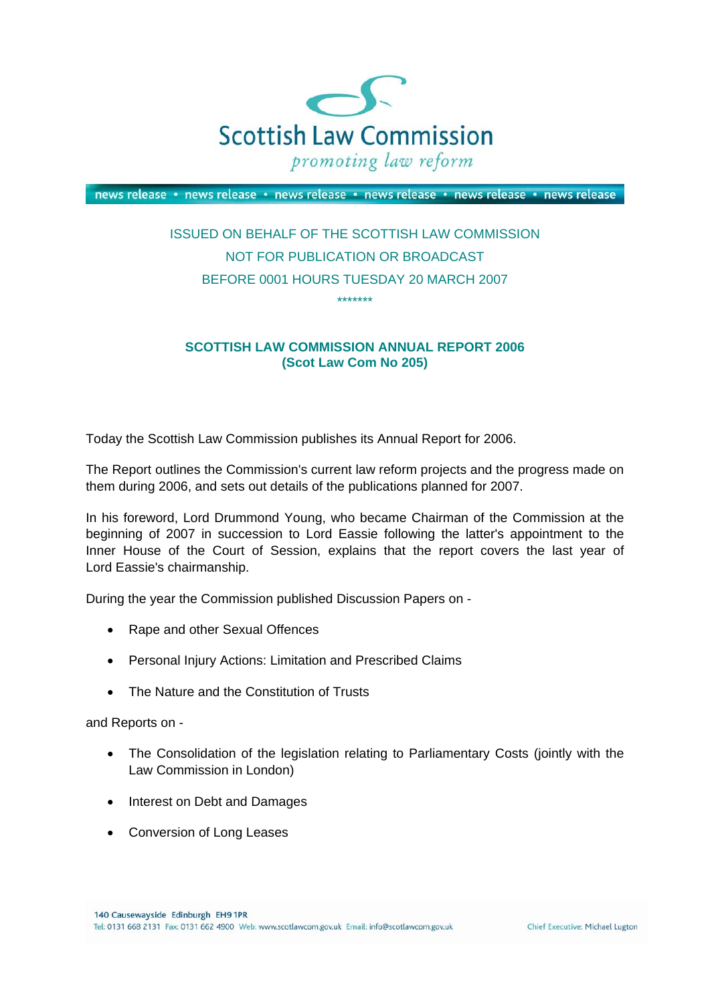

news release · news release · news release · news release · news release · news release

## ISSUED ON BEHALF OF THE SCOTTISH LAW COMMISSION NOT FOR PUBLICATION OR BROADCAST BEFORE 0001 HOURS TUESDAY 20 MARCH 2007 \*\*\*\*\*\*\*

## **SCOTTISH LAW COMMISSION ANNUAL REPORT 2006 (Scot Law Com No 205)**

Today the Scottish Law Commission publishes its Annual Report for 2006.

The Report outlines the Commission's current law reform projects and the progress made on them during 2006, and sets out details of the publications planned for 2007.

In his foreword, Lord Drummond Young, who became Chairman of the Commission at the beginning of 2007 in succession to Lord Eassie following the latter's appointment to the Inner House of the Court of Session, explains that the report covers the last year of Lord Eassie's chairmanship.

During the year the Commission published Discussion Papers on -

- Rape and other Sexual Offences
- Personal Injury Actions: Limitation and Prescribed Claims
- The Nature and the Constitution of Trusts

and Reports on -

- The Consolidation of the legislation relating to Parliamentary Costs (jointly with the Law Commission in London)
- Interest on Debt and Damages
- Conversion of Long Leases